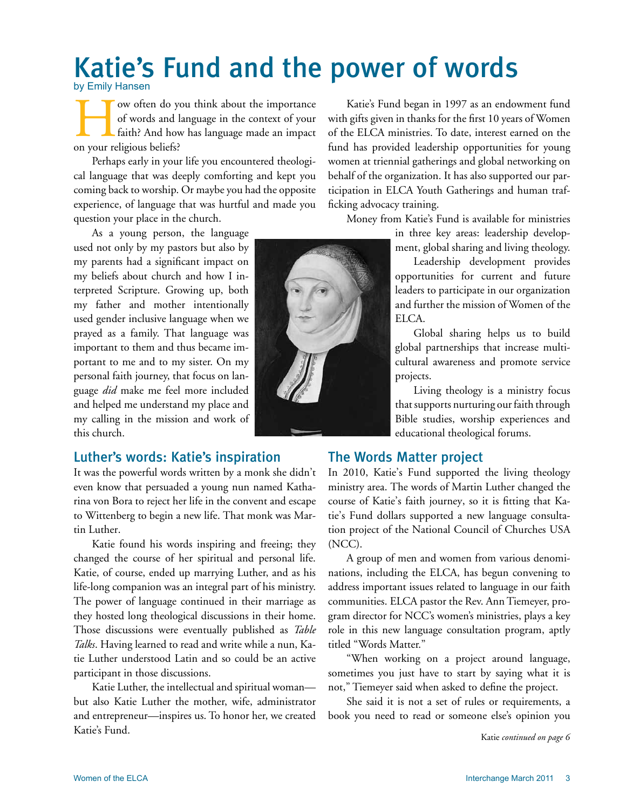# Katie's Fund and the power of words by Emily Hansen

Tow often do you think about the importance<br>of words and language in the context of your<br>faith? And how has language made an impact<br>on your religious beliefs? of words and language in the context of your faith? And how has language made an impact on your religious beliefs?

Perhaps early in your life you encountered theological language that was deeply comforting and kept you coming back to worship. Or maybe you had the opposite experience, of language that was hurtful and made you question your place in the church.

As a young person, the language used not only by my pastors but also by my parents had a significant impact on my beliefs about church and how I interpreted Scripture. Growing up, both my father and mother intentionally used gender inclusive language when we prayed as a family. That language was important to them and thus became important to me and to my sister. On my personal faith journey, that focus on language *did* make me feel more included and helped me understand my place and my calling in the mission and work of this church.

Luther's words: Katie's inspiration

It was the powerful words written by a monk she didn't even know that persuaded a young nun named Katharina von Bora to reject her life in the convent and escape to Wittenberg to begin a new life. That monk was Martin Luther.

Katie found his words inspiring and freeing; they changed the course of her spiritual and personal life. Katie, of course, ended up marrying Luther, and as his life-long companion was an integral part of his ministry. The power of language continued in their marriage as they hosted long theological discussions in their home. Those discussions were eventually published as *Table Talks*. Having learned to read and write while a nun, Katie Luther understood Latin and so could be an active participant in those discussions.

Katie Luther, the intellectual and spiritual woman but also Katie Luther the mother, wife, administrator and entrepreneur—inspires us. To honor her, we created Katie's Fund.

Katie's Fund began in 1997 as an endowment fund with gifts given in thanks for the first 10 years of Women of the ELCA ministries. To date, interest earned on the fund has provided leadership opportunities for young women at triennial gatherings and global networking on behalf of the organization. It has also supported our participation in ELCA Youth Gatherings and human trafficking advocacy training.

Money from Katie's Fund is available for ministries

in three key areas: leadership development, global sharing and living theology.

Leadership development provides opportunities for current and future leaders to participate in our organization and further the mission of Women of the ELCA.

Global sharing helps us to build global partnerships that increase multicultural awareness and promote service projects.

Living theology is a ministry focus that supports nurturing our faith through Bible studies, worship experiences and educational theological forums.

## The Words Matter project

In 2010, Katie's Fund supported the living theology ministry area. The words of Martin Luther changed the course of Katie's faith journey, so it is fitting that Katie's Fund dollars supported a new language consultation project of the National Council of Churches USA (NCC).

A group of men and women from various denominations, including the ELCA, has begun convening to address important issues related to language in our faith communities. ELCA pastor the Rev. Ann Tiemeyer, program director for NCC's women's ministries, plays a key role in this new language consultation program, aptly titled "Words Matter."

"When working on a project around language, sometimes you just have to start by saying what it is not," Tiemeyer said when asked to define the project.

She said it is not a set of rules or requirements, a book you need to read or someone else's opinion you

Katie *continued on page 6*